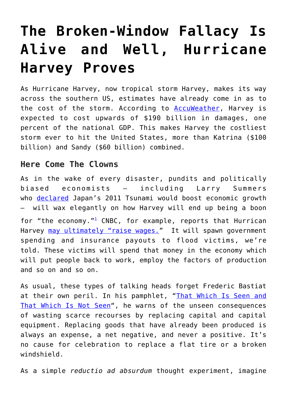## **[The Broken-Window Fallacy Is](https://intellectualtakeout.org/2017/09/the-broken-window-fallacy-is-alive-and-well-hurricane-harvey-proves/) [Alive and Well, Hurricane](https://intellectualtakeout.org/2017/09/the-broken-window-fallacy-is-alive-and-well-hurricane-harvey-proves/) [Harvey Proves](https://intellectualtakeout.org/2017/09/the-broken-window-fallacy-is-alive-and-well-hurricane-harvey-proves/)**

As Hurricane Harvey, now tropical storm Harvey, makes its way across the southern US, estimates have already come in as to the cost of the storm. According to [AccuWeather](https://www.accuweather.com/en/weather-news/accuweather-predicts-hurricane-harvey-to-be-the-most-costly-natural-disaster-in-us-history/70002597), Harvey is expected to cost upwards of \$190 billion in damages, one percent of the national GDP. This makes Harvey the costliest storm ever to hit the United States, more than Katrina (\$100 billion) and Sandy (\$60 billion) combined.

## **Here Come The Clowns**

As in the wake of every disaster, pundits and politically biased economists — including Larry Summers who [declared](https://www.cnbc.com/id/42002647) Japan's 2011 Tsunami would boost economic growth — will wax elegantly on how Harvey will end up being a boon for "the economy."<sup>[1](https://mises.org/blog/broken-window-fallacy-still-alive-and-well#footnote1_5tfz3tl)</sup> CNBC, for example, reports that Hurrican Harvey [may ultimately "raise wages.](https://www.cnbc.com/2017/08/28/devastating-storm-may-actually-boost-us-gdp-and-push-inflation-higher.html)" It will spawn government spending and insurance payouts to flood victims, we're told. These victims will spend that money in the economy which will put people back to work, employ the factors of production and so on and so on.

As usual, these types of talking heads forget Frederic Bastiat at their own peril. In his pamphlet, "[That Which Is Seen and](https://mises.org/library/which-seen-and-which-not-seen) [That Which Is Not Seen"](https://mises.org/library/which-seen-and-which-not-seen), he warns of the unseen consequences of wasting scarce recourses by replacing capital and capital equipment. Replacing goods that have already been produced is always an expense, a net negative, and never a positive. It's no cause for celebration to replace a flat tire or a broken windshield.

As a simple *reductio ad absurdum* thought experiment, imagine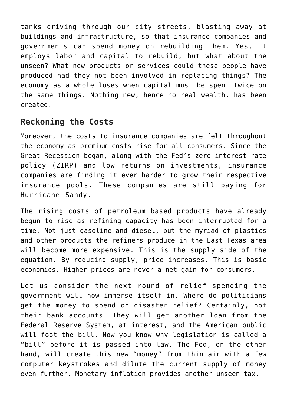tanks driving through our city streets, blasting away at buildings and infrastructure, so that insurance companies and governments can spend money on rebuilding them. Yes, it employs labor and capital to rebuild, but what about the unseen? What new products or services could these people have produced had they not been involved in replacing things? The economy as a whole loses when capital must be spent twice on the same things. Nothing new, hence no real wealth, has been created.

## **Reckoning the Costs**

Moreover, the costs to insurance companies are felt throughout the economy as premium costs rise for all consumers. Since the Great Recession began, along with the Fed's zero interest rate policy (ZIRP) and low returns on investments, insurance companies are finding it ever harder to grow their respective insurance pools. These companies are still paying for Hurricane Sandy.

The rising costs of petroleum based products have already begun to rise as refining capacity has been interrupted for a time. Not just gasoline and diesel, but the myriad of plastics and other products the refiners produce in the East Texas area will become more expensive. This is the supply side of the equation. By reducing supply, price increases. This is basic economics. Higher prices are never a net gain for consumers.

Let us consider the next round of relief spending the government will now immerse itself in. Where do politicians get the money to spend on disaster relief? Certainly, not their bank accounts. They will get another loan from the Federal Reserve System, at interest, and the American public will foot the bill. Now you know why legislation is called a "bill" before it is passed into law. The Fed, on the other hand, will create this new "money" from thin air with a few computer keystrokes and dilute the current supply of money even further. Monetary inflation provides another unseen tax.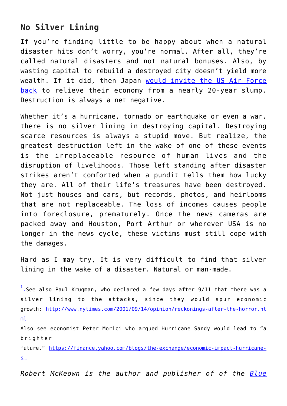## **No Silver Lining**

If you're finding little to be happy about when a natural disaster hits don't worry, you're normal. After all, they're called natural disasters and not natural bonuses. Also, by wasting capital to rebuild a destroyed city doesn't yield more wealth. If it did, then Japan [would invite the US Air Force](https://en.wikipedia.org/wiki/Air_raids_on_Japan) [back](https://en.wikipedia.org/wiki/Air_raids_on_Japan) to relieve their economy from a nearly 20-year slump. Destruction is always a net negative.

Whether it's a hurricane, tornado or earthquake or even a war, there is no silver lining in destroying capital. Destroying scarce resources is always a stupid move. But realize, the greatest destruction left in the wake of one of these events is the irreplaceable resource of human lives and the disruption of livelihoods. Those left standing after disaster strikes aren't comforted when a pundit tells them how lucky they are. All of their life's treasures have been destroyed. Not just houses and cars, but records, photos, and heirlooms that are not replaceable. The loss of incomes causes people into foreclosure, prematurely. Once the news cameras are packed away and Houston, Port Arthur or wherever USA is no longer in the news cycle, these victims must still cope with the damages.

Hard as I may try, It is very difficult to find that silver lining in the wake of a disaster. Natural or man-made.

 $\frac{1}{2}$  $\frac{1}{2}$  $\frac{1}{2}$ [.S](https://mises.org/blog/broken-window-fallacy-still-alive-and-well#footnoteref1_5tfz3tl)ee also Paul Krugman, who declared a few days after 9/11 that there was a silver lining to the attacks, since they would spur economic growth: [http://www.nytimes.com/2001/09/14/opinion/reckonings-after-the-horror.ht](http://www.nytimes.com/2001/09/14/opinion/reckonings-after-the-horror.html) [ml](http://www.nytimes.com/2001/09/14/opinion/reckonings-after-the-horror.html)

Also see economist Peter Morici who argued Hurricane Sandy would lead to "a brighter

future." [https://finance.yahoo.com/blogs/the-exchange/economic-impact-hurricane](https://finance.yahoo.com/blogs/the-exchange/economic-impact-hurricane-sandy-not-bad-news-150458002.html)[s…](https://finance.yahoo.com/blogs/the-exchange/economic-impact-hurricane-sandy-not-bad-news-150458002.html)

*Robert McKeown is the author and publisher of of the [Blue](https://thebluecollareconomist.com/)*